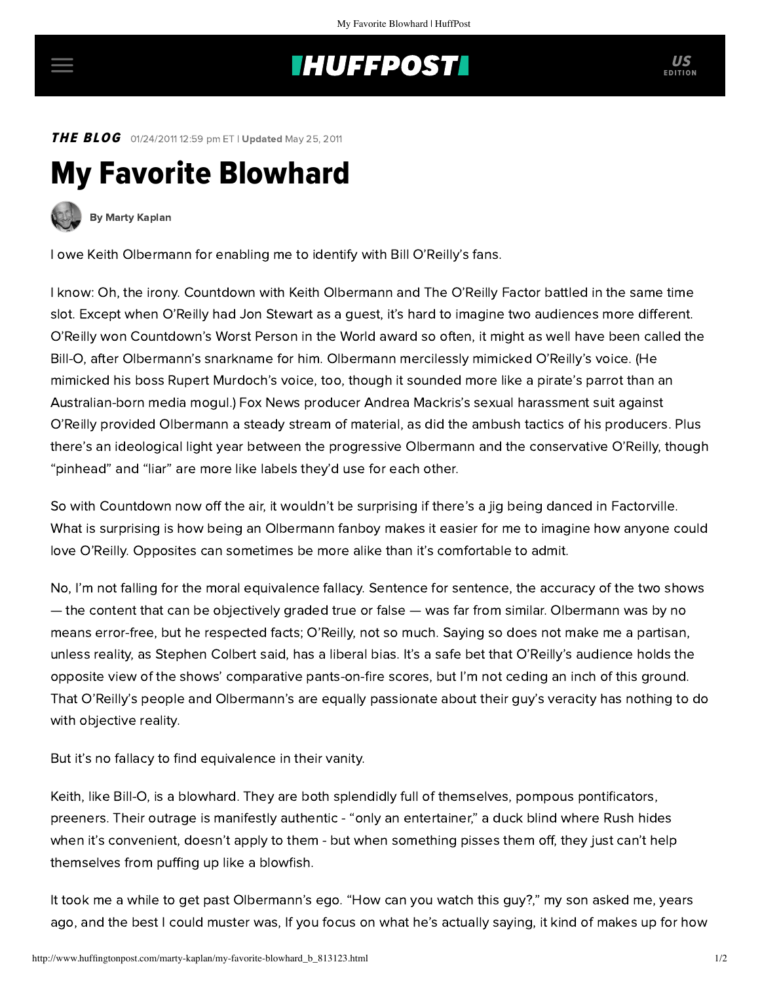## **INUFFPOST**

**THE BLOG** 01/24/2011 12:59 pm ET | Updated May 25, 2011

## My Favorite Blowhard



[By Marty Kaplan](http://www.huffingtonpost.com/author/marty-kaplan)

I owe Keith Olbermann for enabling me to identify with Bill O'Reilly's fans.

I know: Oh, the irony. Countdown with Keith Olbermann and The O'Reilly Factor battled in the same time slot. Except when O'Reilly had Jon Stewart as a guest, it's hard to imagine two audiences more different. O'Reilly won Countdown's Worst Person in the World award so often, it might as well have been called the Bill-O, after Olbermann's snarkname for him. Olbermann mercilessly mimicked O'Reilly's voice. (He mimicked his boss Rupert Murdoch's voice, too, though it sounded more like a pirate's parrot than an Australian-born media mogul.) Fox News producer Andrea Mackris's sexual harassment suit against O'Reilly provided Olbermann a steady stream of material, as did the ambush tactics of his producers. Plus there's an ideological light year between the progressive Olbermann and the conservative O'Reilly, though "pinhead" and "liar" are more like labels they'd use for each other.

So with Countdown now off the air, it wouldn't be surprising if there's a jig being danced in Factorville. What is surprising is how being an Olbermann fanboy makes it easier for me to imagine how anyone could love O'Reilly. Opposites can sometimes be more alike than it's comfortable to admit.

No, I'm not falling for the moral equivalence fallacy. Sentence for sentence, the accuracy of the two shows — the content that can be objectively graded true or false — was far from similar. Olbermann was by no means error-free, but he respected facts; O'Reilly, not so much. Saying so does not make me a partisan, unless reality, as Stephen Colbert said, has a liberal bias. It's a safe bet that O'Reilly's audience holds the opposite view of the shows' comparative pants-on-fire scores, but I'm not ceding an inch of this ground. That O'Reilly's people and Olbermann's are equally passionate about their guy's veracity has nothing to do with objective reality.

But it's no fallacy to find equivalence in their vanity.

Keith, like Bill-O, is a blowhard. They are both splendidly full of themselves, pompous pontificators, preeners. Their outrage is manifestly authentic - "only an entertainer," a duck blind where Rush hides when it's convenient, doesn't apply to them - but when something pisses them off, they just can't help themselves from puffing up like a blowfish.

It took me a while to get past Olbermann's ego. "How can you watch this guy?," my son asked me, years ago, and the best I could muster was, If you focus on what he's actually saying, it kind of makes up for how